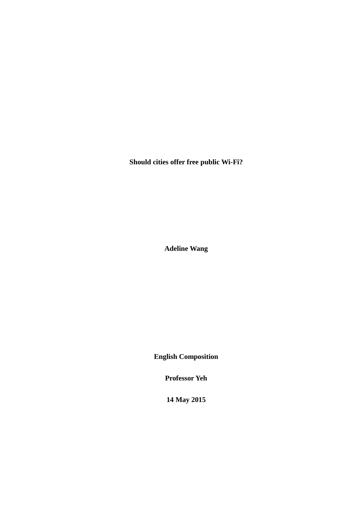**Should cities offer free public Wi-Fi?**

**Adeline Wang**

**English Composition**

**Professor Yeh**

**14 May 2015**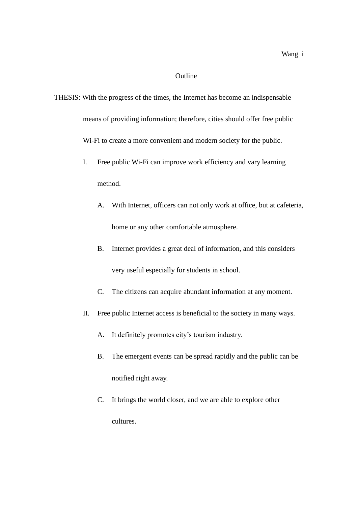## Outline

THESIS: With the progress of the times, the Internet has become an indispensable means of providing information; therefore, cities should offer free public Wi-Fi to create a more convenient and modern society for the public.

- I. Free public Wi-Fi can improve work efficiency and vary learning method.
	- A. With Internet, officers can not only work at office, but at cafeteria, home or any other comfortable atmosphere.
	- B. Internet provides a great deal of information, and this considers very useful especially for students in school.
	- C. The citizens can acquire abundant information at any moment.
- II. Free public Internet access is beneficial to the society in many ways.
	- A. It definitely promotes city's tourism industry.
	- B. The emergent events can be spread rapidly and the public can be notified right away.
	- C. It brings the world closer, and we are able to explore other cultures.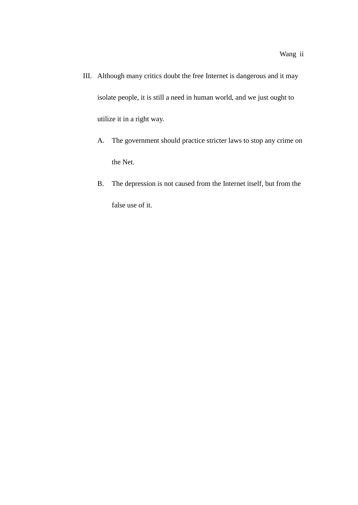- III. Although many critics doubt the free Internet is dangerous and it may isolate people, it is still a need in human world, and we just ought to utilize it in a right way.
	- A. The government should practice stricter laws to stop any crime on the Net.
	- B. The depression is not caused from the Internet itself, but from the false use of it.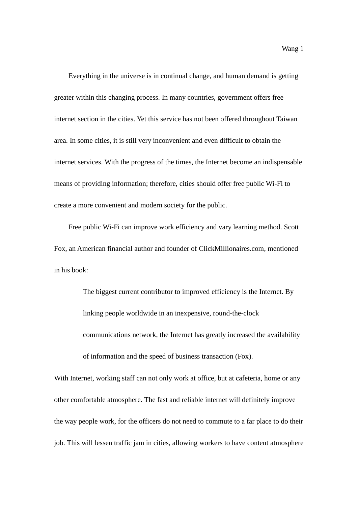Everything in the universe is in continual change, and human demand is getting greater within this changing process. In many countries, government offers free internet section in the cities. Yet this service has not been offered throughout Taiwan area. In some cities, it is still very inconvenient and even difficult to obtain the internet services. With the progress of the times, the Internet become an indispensable means of providing information; therefore, cities should offer free public Wi-Fi to create a more convenient and modern society for the public.

Free public Wi-Fi can improve work efficiency and vary learning method. Scott Fox, an American financial author and founder of ClickMillionaires.com, mentioned in his book:

> The biggest current contributor to improved efficiency is the Internet. By linking people worldwide in an inexpensive, round-the-clock communications network, the Internet has greatly increased the availability of information and the speed of business transaction (Fox).

With Internet, working staff can not only work at office, but at cafeteria, home or any other comfortable atmosphere. The fast and reliable internet will definitely improve the way people work, for the officers do not need to commute to a far place to do their job. This will lessen traffic jam in cities, allowing workers to have content atmosphere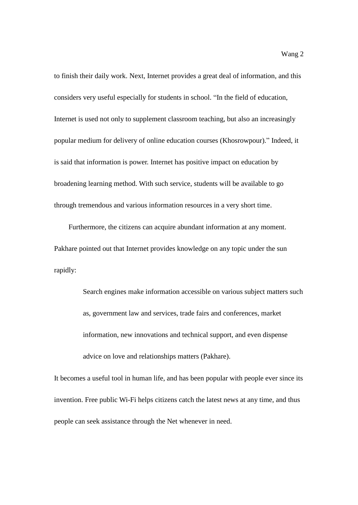to finish their daily work. Next, Internet provides a great deal of information, and this considers very useful especially for students in school. "In the field of education, Internet is used not only to supplement classroom teaching, but also an increasingly popular medium for delivery of online education courses (Khosrowpour)." Indeed, it is said that information is power. Internet has positive impact on education by broadening learning method. With such service, students will be available to go through tremendous and various information resources in a very short time.

Furthermore, the citizens can acquire abundant information at any moment. Pakhare pointed out that Internet provides knowledge on any topic under the sun rapidly:

> Search engines make information accessible on various subject matters such as, government law and services, trade fairs and conferences, market information, new innovations and technical support, and even dispense advice on love and relationships matters (Pakhare).

It becomes a useful tool in human life, and has been popular with people ever since its invention. Free public Wi-Fi helps citizens catch the latest news at any time, and thus people can seek assistance through the Net whenever in need.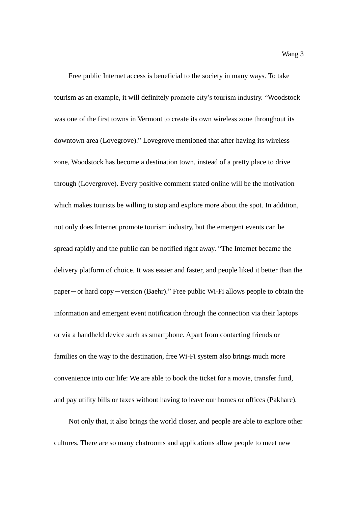Free public Internet access is beneficial to the society in many ways. To take tourism as an example, it will definitely promote city's tourism industry. "Woodstock was one of the first towns in Vermont to create its own wireless zone throughout its downtown area (Lovegrove)." Lovegrove mentioned that after having its wireless zone, Woodstock has become a destination town, instead of a pretty place to drive through (Lovergrove). Every positive comment stated online will be the motivation which makes tourists be willing to stop and explore more about the spot. In addition, not only does Internet promote tourism industry, but the emergent events can be spread rapidly and the public can be notified right away. "The Internet became the delivery platform of choice. It was easier and faster, and people liked it better than the paper-or hard copy-version (Baehr)." Free public Wi-Fi allows people to obtain the information and emergent event notification through the connection via their laptops or via a handheld device such as smartphone. Apart from contacting friends or families on the way to the destination, free Wi-Fi system also brings much more convenience into our life: We are able to book the ticket for a movie, transfer fund, and pay utility bills or taxes without having to leave our homes or offices (Pakhare).

Not only that, it also brings the world closer, and people are able to explore other cultures. There are so many chatrooms and applications allow people to meet new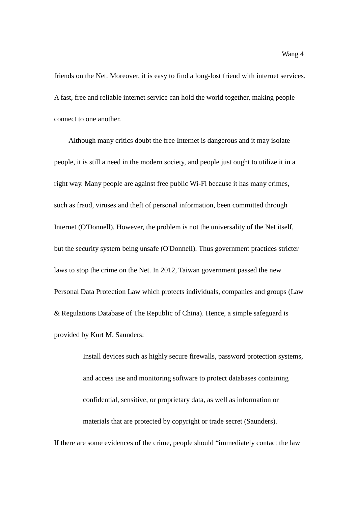friends on the Net. Moreover, it is easy to find a long-lost friend with internet services. A fast, free and reliable internet service can hold the world together, making people connect to one another.

Although many critics doubt the free Internet is dangerous and it may isolate people, it is still a need in the modern society, and people just ought to utilize it in a right way. Many people are against free public Wi-Fi because it has many crimes, such as fraud, viruses and theft of personal information, been committed through Internet (O'Donnell). However, the problem is not the universality of the Net itself, but the security system being unsafe (O'Donnell). Thus government practices stricter laws to stop the crime on the Net. In 2012, Taiwan government passed the new Personal Data Protection Law which protects individuals, companies and groups (Law & Regulations Database of The Republic of China). Hence, a simple safeguard is provided by Kurt M. Saunders:

Install devices such as highly secure firewalls, password protection systems, and access use and monitoring software to protect databases containing confidential, sensitive, or proprietary data, as well as information or materials that are protected by copyright or trade secret (Saunders).

If there are some evidences of the crime, people should "immediately contact the law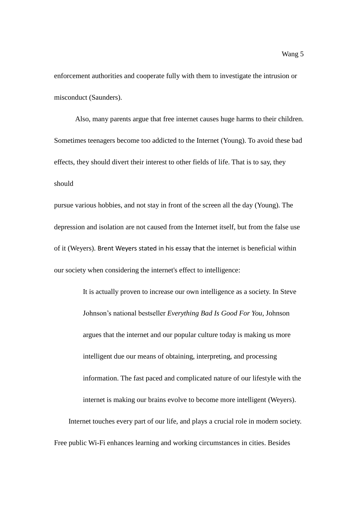enforcement authorities and cooperate fully with them to investigate the intrusion or misconduct (Saunders).

Also, many parents argue that free internet causes huge harms to their children. Sometimes teenagers become too addicted to the Internet (Young). To avoid these bad effects, they should divert their interest to other fields of life. That is to say, they should

pursue various hobbies, and not stay in front of the screen all the day (Young). The depression and isolation are not caused from the Internet itself, but from the false use of it (Weyers). Brent Weyers stated in his essay that the internet is beneficial within our society when considering the internet's effect to intelligence:

It is actually proven to increase our own intelligence as a society. In Steve Johnson's national bestseller *Everything Bad Is Good For You*, Johnson argues that the internet and our popular culture today is making us more intelligent due our means of obtaining, interpreting, and processing information. The fast paced and complicated nature of our lifestyle with the internet is making our brains evolve to become more intelligent (Weyers). Internet touches every part of our life, and plays a crucial role in modern society. Free public Wi-Fi enhances learning and working circumstances in cities. Besides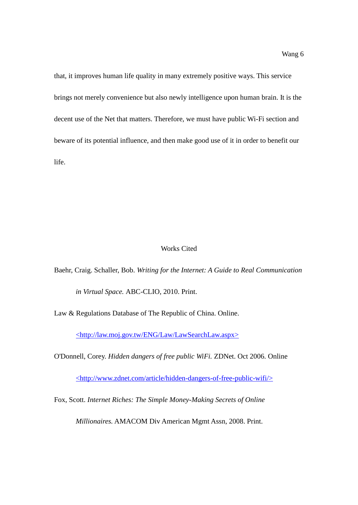that, it improves human life quality in many extremely positive ways. This service brings not merely convenience but also newly intelligence upon human brain. It is the decent use of the Net that matters. Therefore, we must have public Wi-Fi section and beware of its potential influence, and then make good use of it in order to benefit our life.

## Works Cited

Baehr, Craig. Schaller, Bob. *Writing for the Internet: A Guide to Real Communication in Virtual Space.* ABC-CLIO, 2010. Print.

Law & Regulations Database of The Republic of China. Online.

[<http://law.moj.gov.tw/ENG/Law/LawSearchLaw.aspx>](http://law.moj.gov.tw/ENG/Law/LawSearchLaw.aspx)

O'Donnell, Corey. *Hidden dangers of free public WiFi.* ZDNet. Oct 2006. Online

[<http://www.zdnet.com/article/hidden-dangers-of-free-public-wifi/>](http://www.zdnet.com/article/hidden-dangers-of-free-public-wifi/)

Fox, Scott. *Internet Riches: The Simple Money-Making Secrets of Online* 

*Millionaires.* AMACOM Div American Mgmt Assn, 2008. Print.